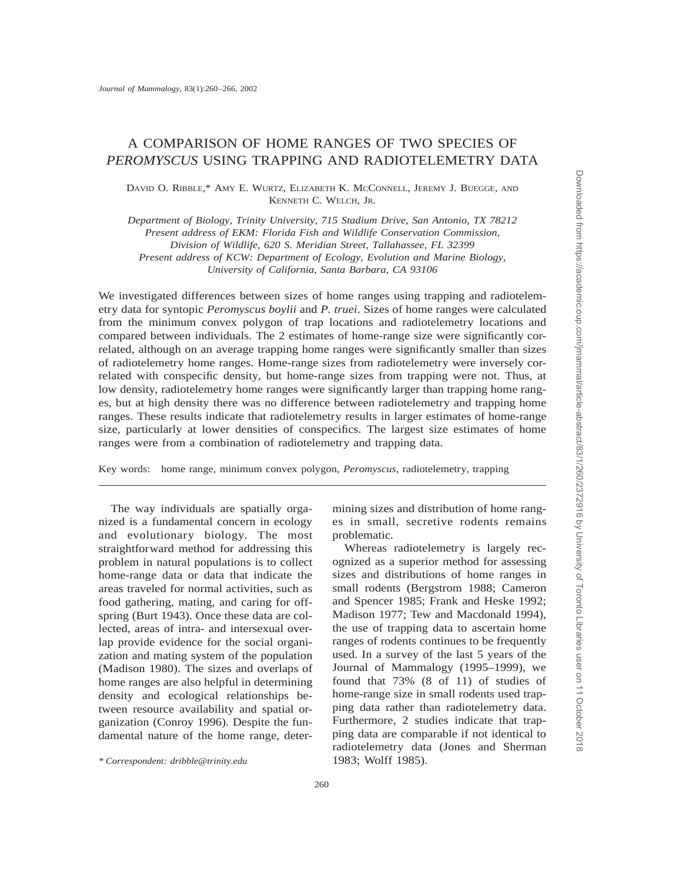# A COMPARISON OF HOME RANGES OF TWO SPECIES OF *PEROMYSCUS* USING TRAPPING AND RADIOTELEMETRY DATA

DAVID O. RIBBLE,\* AMY E. WURTZ, ELIZABETH K. MCCONNELL, JEREMY J. BUEGGE, AND KENNETH C. WELCH, JR.

*Department of Biology, Trinity University, 715 Stadium Drive, San Antonio, TX 78212 Present address of EKM: Florida Fish and Wildlife Conservation Commission, Division of Wildlife, 620 S. Meridian Street, Tallahassee, FL 32399 Present address of KCW: Department of Ecology, Evolution and Marine Biology, University of California, Santa Barbara, CA 93106*

We investigated differences between sizes of home ranges using trapping and radiotelemetry data for syntopic *Peromyscus boylii* and *P. truei*. Sizes of home ranges were calculated from the minimum convex polygon of trap locations and radiotelemetry locations and compared between individuals. The 2 estimates of home-range size were significantly correlated, although on an average trapping home ranges were significantly smaller than sizes of radiotelemetry home ranges. Home-range sizes from radiotelemetry were inversely correlated with conspecific density, but home-range sizes from trapping were not. Thus, at low density, radiotelemetry home ranges were significantly larger than trapping home ranges, but at high density there was no difference between radiotelemetry and trapping home ranges. These results indicate that radiotelemetry results in larger estimates of home-range size, particularly at lower densities of conspecifics. The largest size estimates of home ranges were from a combination of radiotelemetry and trapping data.

Key words: home range, minimum convex polygon, *Peromyscus*, radiotelemetry, trapping

The way individuals are spatially organized is a fundamental concern in ecology and evolutionary biology. The most straightforward method for addressing this problem in natural populations is to collect home-range data or data that indicate the areas traveled for normal activities, such as food gathering, mating, and caring for offspring (Burt 1943). Once these data are collected, areas of intra- and intersexual overlap provide evidence for the social organization and mating system of the population (Madison 1980). The sizes and overlaps of home ranges are also helpful in determining density and ecological relationships between resource availability and spatial organization (Conroy 1996). Despite the fundamental nature of the home range, determining sizes and distribution of home ranges in small, secretive rodents remains problematic.

Whereas radiotelemetry is largely recognized as a superior method for assessing sizes and distributions of home ranges in small rodents (Bergstrom 1988; Cameron and Spencer 1985; Frank and Heske 1992; Madison 1977; Tew and Macdonald 1994), the use of trapping data to ascertain home ranges of rodents continues to be frequently used. In a survey of the last 5 years of the Journal of Mammalogy (1995–1999), we found that 73% (8 of 11) of studies of home-range size in small rodents used trapping data rather than radiotelemetry data. Furthermore, 2 studies indicate that trapping data are comparable if not identical to radiotelemetry data (Jones and Sherman 1983; Wolff 1985).

*<sup>\*</sup> Correspondent: dribble@trinity.edu*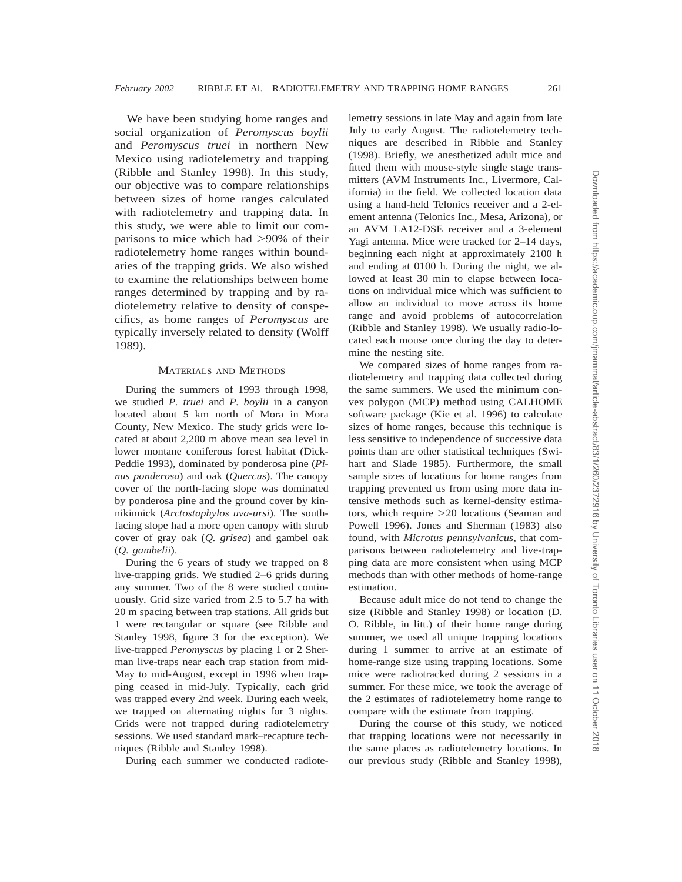We have been studying home ranges and social organization of *Peromyscus boylii* and *Peromyscus truei* in northern New Mexico using radiotelemetry and trapping (Ribble and Stanley 1998). In this study, our objective was to compare relationships between sizes of home ranges calculated with radiotelemetry and trapping data. In this study, we were able to limit our comparisons to mice which had  $>90\%$  of their radiotelemetry home ranges within boundaries of the trapping grids. We also wished to examine the relationships between home ranges determined by trapping and by radiotelemetry relative to density of conspecifics, as home ranges of *Peromyscus* are typically inversely related to density (Wolff 1989).

### MATERIALS AND METHODS

During the summers of 1993 through 1998, we studied *P. truei* and *P. boylii* in a canyon located about 5 km north of Mora in Mora County, New Mexico. The study grids were located at about 2,200 m above mean sea level in lower montane coniferous forest habitat (Dick-Peddie 1993), dominated by ponderosa pine (*Pinus ponderosa*) and oak (*Quercus*). The canopy cover of the north-facing slope was dominated by ponderosa pine and the ground cover by kinnikinnick (*Arctostaphylos uva-ursi*). The southfacing slope had a more open canopy with shrub cover of gray oak (*Q. grisea*) and gambel oak (*Q. gambelii*).

During the 6 years of study we trapped on 8 live-trapping grids. We studied 2–6 grids during any summer. Two of the 8 were studied continuously. Grid size varied from 2.5 to 5.7 ha with 20 m spacing between trap stations. All grids but 1 were rectangular or square (see Ribble and Stanley 1998, figure 3 for the exception). We live-trapped *Peromyscus* by placing 1 or 2 Sherman live-traps near each trap station from mid-May to mid-August, except in 1996 when trapping ceased in mid-July. Typically, each grid was trapped every 2nd week. During each week, we trapped on alternating nights for 3 nights. Grids were not trapped during radiotelemetry sessions. We used standard mark–recapture techniques (Ribble and Stanley 1998).

During each summer we conducted radiote-

lemetry sessions in late May and again from late July to early August. The radiotelemetry techniques are described in Ribble and Stanley (1998). Briefly, we anesthetized adult mice and fitted them with mouse-style single stage transmitters (AVM Instruments Inc., Livermore, California) in the field. We collected location data using a hand-held Telonics receiver and a 2-element antenna (Telonics Inc., Mesa, Arizona), or an AVM LA12-DSE receiver and a 3-element Yagi antenna. Mice were tracked for 2–14 days, beginning each night at approximately 2100 h and ending at 0100 h. During the night, we allowed at least 30 min to elapse between locations on individual mice which was sufficient to allow an individual to move across its home range and avoid problems of autocorrelation (Ribble and Stanley 1998). We usually radio-located each mouse once during the day to determine the nesting site.

We compared sizes of home ranges from radiotelemetry and trapping data collected during the same summers. We used the minimum convex polygon (MCP) method using CALHOME software package (Kie et al. 1996) to calculate sizes of home ranges, because this technique is less sensitive to independence of successive data points than are other statistical techniques (Swihart and Slade 1985). Furthermore, the small sample sizes of locations for home ranges from trapping prevented us from using more data intensive methods such as kernel-density estimators, which require  $>20$  locations (Seaman and Powell 1996). Jones and Sherman (1983) also found, with *Microtus pennsylvanicus*, that comparisons between radiotelemetry and live-trapping data are more consistent when using MCP methods than with other methods of home-range estimation.

Because adult mice do not tend to change the size (Ribble and Stanley 1998) or location (D. O. Ribble, in litt.) of their home range during summer, we used all unique trapping locations during 1 summer to arrive at an estimate of home-range size using trapping locations. Some mice were radiotracked during 2 sessions in a summer. For these mice, we took the average of the 2 estimates of radiotelemetry home range to compare with the estimate from trapping.

During the course of this study, we noticed that trapping locations were not necessarily in the same places as radiotelemetry locations. In our previous study (Ribble and Stanley 1998),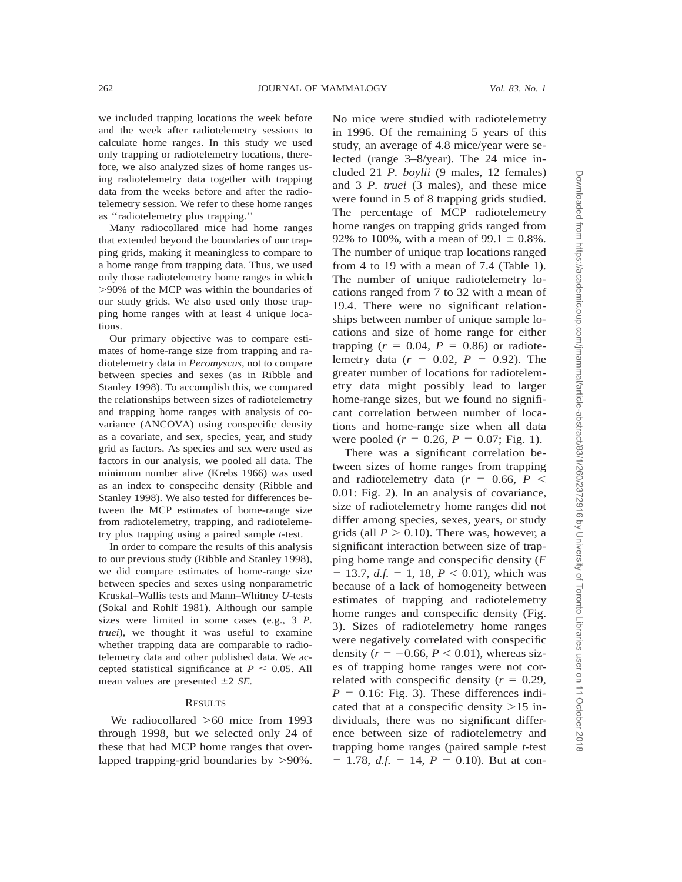we included trapping locations the week before and the week after radiotelemetry sessions to calculate home ranges. In this study we used only trapping or radiotelemetry locations, therefore, we also analyzed sizes of home ranges using radiotelemetry data together with trapping data from the weeks before and after the radiotelemetry session. We refer to these home ranges as ''radiotelemetry plus trapping.''

Many radiocollared mice had home ranges that extended beyond the boundaries of our trapping grids, making it meaningless to compare to a home range from trapping data. Thus, we used only those radiotelemetry home ranges in which .90% of the MCP was within the boundaries of our study grids. We also used only those trapping home ranges with at least 4 unique locations.

Our primary objective was to compare estimates of home-range size from trapping and radiotelemetry data in *Peromyscus*, not to compare between species and sexes (as in Ribble and Stanley 1998). To accomplish this, we compared the relationships between sizes of radiotelemetry and trapping home ranges with analysis of covariance (ANCOVA) using conspecific density as a covariate, and sex, species, year, and study grid as factors. As species and sex were used as factors in our analysis, we pooled all data. The minimum number alive (Krebs 1966) was used as an index to conspecific density (Ribble and Stanley 1998). We also tested for differences between the MCP estimates of home-range size from radiotelemetry, trapping, and radiotelemetry plus trapping using a paired sample *t*-test.

In order to compare the results of this analysis to our previous study (Ribble and Stanley 1998), we did compare estimates of home-range size between species and sexes using nonparametric Kruskal–Wallis tests and Mann–Whitney *U*-tests (Sokal and Rohlf 1981). Although our sample sizes were limited in some cases (e.g., 3 *P. truei*), we thought it was useful to examine whether trapping data are comparable to radiotelemetry data and other published data. We accepted statistical significance at  $P \leq 0.05$ . All mean values are presented  $\pm 2$  *SE*.

#### RESULTS

We radiocollared  $>60$  mice from 1993 through 1998, but we selected only 24 of these that had MCP home ranges that overlapped trapping-grid boundaries by  $>90\%$ . No mice were studied with radiotelemetry in 1996. Of the remaining 5 years of this study, an average of 4.8 mice/year were selected (range 3–8/year). The 24 mice included 21 *P. boylii* (9 males, 12 females) and 3 *P. truei* (3 males), and these mice were found in 5 of 8 trapping grids studied. The percentage of MCP radiotelemetry home ranges on trapping grids ranged from 92% to 100%, with a mean of 99.1  $\pm$  0.8%. The number of unique trap locations ranged from 4 to 19 with a mean of 7.4 (Table 1). The number of unique radiotelemetry locations ranged from 7 to 32 with a mean of 19.4. There were no significant relationships between number of unique sample locations and size of home range for either trapping  $(r = 0.04, P = 0.86)$  or radiotelemetry data  $(r = 0.02, P = 0.92)$ . The greater number of locations for radiotelemetry data might possibly lead to larger home-range sizes, but we found no significant correlation between number of locations and home-range size when all data were pooled ( $r = 0.26$ ,  $P = 0.07$ ; Fig. 1).

There was a significant correlation between sizes of home ranges from trapping and radiotelemetry data  $(r = 0.66, P <$ 0.01: Fig. 2). In an analysis of covariance, size of radiotelemetry home ranges did not differ among species, sexes, years, or study grids (all  $P > 0.10$ ). There was, however, a significant interaction between size of trapping home range and conspecific density (*F*  $= 13.7, d.f. = 1, 18, P < 0.01$ , which was because of a lack of homogeneity between estimates of trapping and radiotelemetry home ranges and conspecific density (Fig. 3). Sizes of radiotelemetry home ranges were negatively correlated with conspecific density  $(r = -0.66, P < 0.01)$ , whereas sizes of trapping home ranges were not correlated with conspecific density  $(r = 0.29)$ ,  $P = 0.16$ : Fig. 3). These differences indicated that at a conspecific density  $>15$  individuals, there was no significant difference between size of radiotelemetry and trapping home ranges (paired sample *t*-test  $= 1.78$ , *d.f.*  $= 14$ ,  $P = 0.10$ ). But at con-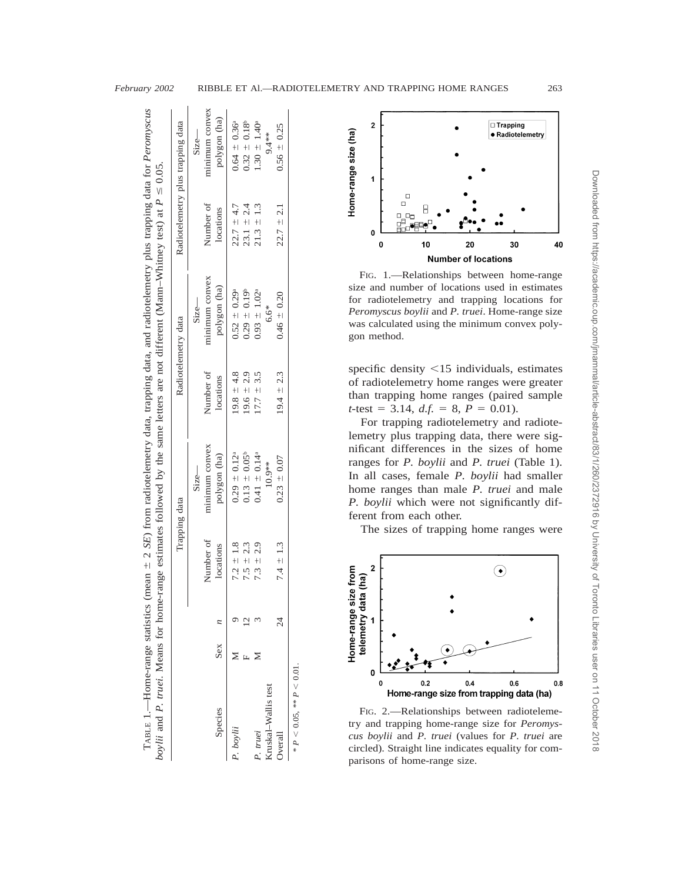|                             |     |               | TABLE 1.—Home-range statistics (mean ± 2 SE) from radiotelemetry data, trapping data, and radiotelemetry plus trapping data for Peromyscus<br><i>boylii</i> and <i>P. truei</i> . Means for home-range estimates followed by the same letters are not different (Mann-Whitney test) at $P \le 0.05$ . |                |                              |                |                                   |
|-----------------------------|-----|---------------|-------------------------------------------------------------------------------------------------------------------------------------------------------------------------------------------------------------------------------------------------------------------------------------------------------|----------------|------------------------------|----------------|-----------------------------------|
|                             |     |               | Trapping data                                                                                                                                                                                                                                                                                         |                | Radiotelemetry data          |                | Radiotelemetry plus trapping data |
|                             |     |               | $Size-$                                                                                                                                                                                                                                                                                               |                | $Size-$                      |                | Size-                             |
|                             |     | Number of     | minimum convex                                                                                                                                                                                                                                                                                        | Number of      | minimum convex               | Number of      | minimum convex                    |
| Species                     | Sex | locations     | polygon (ha)                                                                                                                                                                                                                                                                                          | locations      | polygon (ha)                 | locations      | polygon (ha)                      |
| P. bovlii                   |     | $7.2 \pm 1.8$ | $0.29 \pm 0.12^{\circ}$                                                                                                                                                                                                                                                                               | $19.8 \pm 4.8$ | $0.52 \pm 0.29$ <sup>a</sup> | $22.7 \pm 4.7$ | $0.64 \pm 0.36^{\circ}$           |
|                             |     | $7.5 \pm 2.3$ | $0.13 \pm 0.05^{\circ}$                                                                                                                                                                                                                                                                               | $19.6 \pm 2.9$ | $0.29 \pm 0.19$ <sup>b</sup> | $23.1 \pm 2.4$ | $0.32 \pm 0.18$ <sup>b</sup>      |
| P. truei                    |     | $7.3 \pm 2.9$ | $0.41 \pm 0.14$ <sup>a</sup>                                                                                                                                                                                                                                                                          | $17.7 \pm 3.5$ | $0.93 \pm 1.02^{\circ}$      | $21.3 \pm 1.3$ | $1.30 \pm 1.40^{\circ}$           |
| Kruskal–Wallis test         |     |               | $10.9**$                                                                                                                                                                                                                                                                                              |                | 6.6*                         |                | $9.4**$                           |
| Overall                     |     | $7.4 \pm 1.3$ | $0.23 \pm 0.07$                                                                                                                                                                                                                                                                                       | $19.4 \pm 2.3$ | $0.46 \pm 0.20$              | $22.7 \pm 2.1$ | $0.56 \pm 0.25$                   |
| $* P < 0.05$ , $* P < 0.01$ |     |               |                                                                                                                                                                                                                                                                                                       |                |                              |                |                                   |



FIG. 1.—Relationships between home-range size and number of locations used in estimates for radiotelemetry and trapping locations for *Peromyscus boylii* and *P. truei*. Home-range size was calculated using the minimum convex polygon method.

specific density  $\leq$ 15 individuals, estimates of radiotelemetry home ranges were greater than trapping home ranges (paired sample  $t$ -test = 3.14, *d.f.* = 8,  $P = 0.01$ .

For trapping radiotelemetry and radiotelemetry plus trapping data, there were significant differences in the sizes of home ranges for *P. boylii* and *P. truei* (Table 1). In all cases, female *P. boylii* had smaller home ranges than male *P. truei* and male *P. boylii* which were not significantly different from each other.

The sizes of trapping home ranges were



FIG. 2.—Relationships between radiotelemetry and trapping home-range size for *Peromyscus boylii* and *P. truei* (values for *P. truei* are circled). Straight line indicates equality for comparisons of home-range size.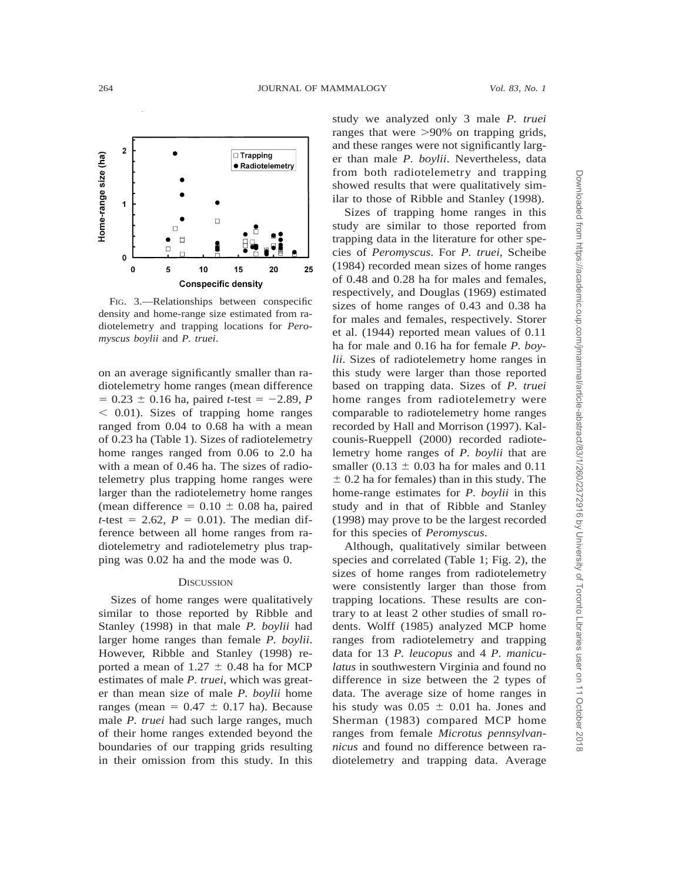

FIG. 3.—Relationships between conspecific density and home-range size estimated from radiotelemetry and trapping locations for *Peromyscus boylii* and *P. truei*.

on an average significantly smaller than radiotelemetry home ranges (mean difference  $= 0.23 \pm 0.16$  ha, paired *t*-test  $= -2.89$ , *P*  $<$  0.01). Sizes of trapping home ranges ranged from 0.04 to 0.68 ha with a mean of 0.23 ha (Table 1). Sizes of radiotelemetry home ranges ranged from 0.06 to 2.0 ha with a mean of 0.46 ha. The sizes of radiotelemetry plus trapping home ranges were larger than the radiotelemetry home ranges (mean difference =  $0.10 \pm 0.08$  ha, paired *t*-test = 2.62,  $P = 0.01$ . The median difference between all home ranges from radiotelemetry and radiotelemetry plus trapping was 0.02 ha and the mode was 0.

### **DISCUSSION**

Sizes of home ranges were qualitatively similar to those reported by Ribble and Stanley (1998) in that male *P. boylii* had larger home ranges than female *P. boylii*. However, Ribble and Stanley (1998) reported a mean of  $1.27 \pm 0.48$  ha for MCP estimates of male *P. truei*, which was greater than mean size of male *P. boylii* home ranges (mean =  $0.47 \pm 0.17$  ha). Because male *P. truei* had such large ranges, much of their home ranges extended beyond the boundaries of our trapping grids resulting in their omission from this study. In this

study we analyzed only 3 male *P. truei* ranges that were  $>90\%$  on trapping grids, and these ranges were not significantly larger than male *P. boylii*. Nevertheless, data from both radiotelemetry and trapping showed results that were qualitatively similar to those of Ribble and Stanley (1998).

Sizes of trapping home ranges in this study are similar to those reported from trapping data in the literature for other species of *Peromyscus*. For *P. truei*, Scheibe (1984) recorded mean sizes of home ranges of 0.48 and 0.28 ha for males and females, respectively, and Douglas (1969) estimated sizes of home ranges of 0.43 and 0.38 ha for males and females, respectively. Storer et al. (1944) reported mean values of 0.11 ha for male and 0.16 ha for female *P. boylii*. Sizes of radiotelemetry home ranges in this study were larger than those reported based on trapping data. Sizes of *P. truei* home ranges from radiotelemetry were comparable to radiotelemetry home ranges recorded by Hall and Morrison (1997). Kalcounis-Rueppell (2000) recorded radiotelemetry home ranges of *P. boylii* that are smaller (0.13  $\pm$  0.03 ha for males and 0.11  $\pm$  0.2 ha for females) than in this study. The home-range estimates for *P. boylii* in this study and in that of Ribble and Stanley (1998) may prove to be the largest recorded for this species of *Peromyscus*.

Although, qualitatively similar between species and correlated (Table 1; Fig. 2), the sizes of home ranges from radiotelemetry were consistently larger than those from trapping locations. These results are contrary to at least 2 other studies of small rodents. Wolff (1985) analyzed MCP home ranges from radiotelemetry and trapping data for 13 *P. leucopus* and 4 *P. maniculatus* in southwestern Virginia and found no difference in size between the 2 types of data. The average size of home ranges in his study was  $0.05 \pm 0.01$  ha. Jones and Sherman (1983) compared MCP home ranges from female *Microtus pennsylvannicus* and found no difference between radiotelemetry and trapping data. Average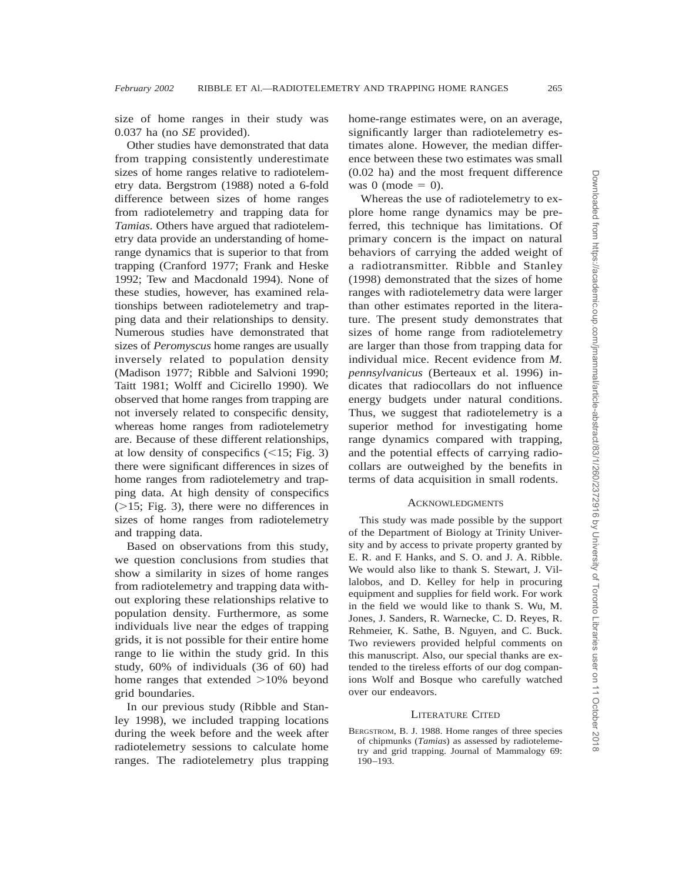size of home ranges in their study was 0.037 ha (no *SE* provided).

Other studies have demonstrated that data from trapping consistently underestimate sizes of home ranges relative to radiotelemetry data. Bergstrom (1988) noted a 6-fold difference between sizes of home ranges from radiotelemetry and trapping data for *Tamias*. Others have argued that radiotelemetry data provide an understanding of homerange dynamics that is superior to that from trapping (Cranford 1977; Frank and Heske 1992; Tew and Macdonald 1994). None of these studies, however, has examined relationships between radiotelemetry and trapping data and their relationships to density. Numerous studies have demonstrated that sizes of *Peromyscus* home ranges are usually inversely related to population density (Madison 1977; Ribble and Salvioni 1990; Taitt 1981; Wolff and Cicirello 1990). We observed that home ranges from trapping are not inversely related to conspecific density, whereas home ranges from radiotelemetry are. Because of these different relationships, at low density of conspecifics  $(\leq 15;$  Fig. 3) there were significant differences in sizes of home ranges from radiotelemetry and trapping data. At high density of conspecifics  $(>15;$  Fig. 3), there were no differences in sizes of home ranges from radiotelemetry and trapping data.

Based on observations from this study, we question conclusions from studies that show a similarity in sizes of home ranges from radiotelemetry and trapping data without exploring these relationships relative to population density. Furthermore, as some individuals live near the edges of trapping grids, it is not possible for their entire home range to lie within the study grid. In this study, 60% of individuals (36 of 60) had home ranges that extended  $>10\%$  beyond grid boundaries.

In our previous study (Ribble and Stanley 1998), we included trapping locations during the week before and the week after radiotelemetry sessions to calculate home ranges. The radiotelemetry plus trapping home-range estimates were, on an average, significantly larger than radiotelemetry estimates alone. However, the median difference between these two estimates was small (0.02 ha) and the most frequent difference was 0 (mode  $= 0$ ).

Whereas the use of radiotelemetry to explore home range dynamics may be preferred, this technique has limitations. Of primary concern is the impact on natural behaviors of carrying the added weight of a radiotransmitter. Ribble and Stanley (1998) demonstrated that the sizes of home ranges with radiotelemetry data were larger than other estimates reported in the literature. The present study demonstrates that sizes of home range from radiotelemetry are larger than those from trapping data for individual mice. Recent evidence from *M. pennsylvanicus* (Berteaux et al. 1996) indicates that radiocollars do not influence energy budgets under natural conditions. Thus, we suggest that radiotelemetry is a superior method for investigating home range dynamics compared with trapping, and the potential effects of carrying radiocollars are outweighed by the benefits in terms of data acquisition in small rodents.

## **ACKNOWLEDGMENTS**

This study was made possible by the support of the Department of Biology at Trinity University and by access to private property granted by E. R. and F. Hanks, and S. O. and J. A. Ribble. We would also like to thank S. Stewart, J. Villalobos, and D. Kelley for help in procuring equipment and supplies for field work. For work in the field we would like to thank S. Wu, M. Jones, J. Sanders, R. Warnecke, C. D. Reyes, R. Rehmeier, K. Sathe, B. Nguyen, and C. Buck. Two reviewers provided helpful comments on this manuscript. Also, our special thanks are extended to the tireless efforts of our dog companions Wolf and Bosque who carefully watched over our endeavors.

### LITERATURE CITED

BERGSTROM, B. J. 1988. Home ranges of three species of chipmunks (*Tamias*) as assessed by radiotelemetry and grid trapping. Journal of Mammalogy 69: 190–193.